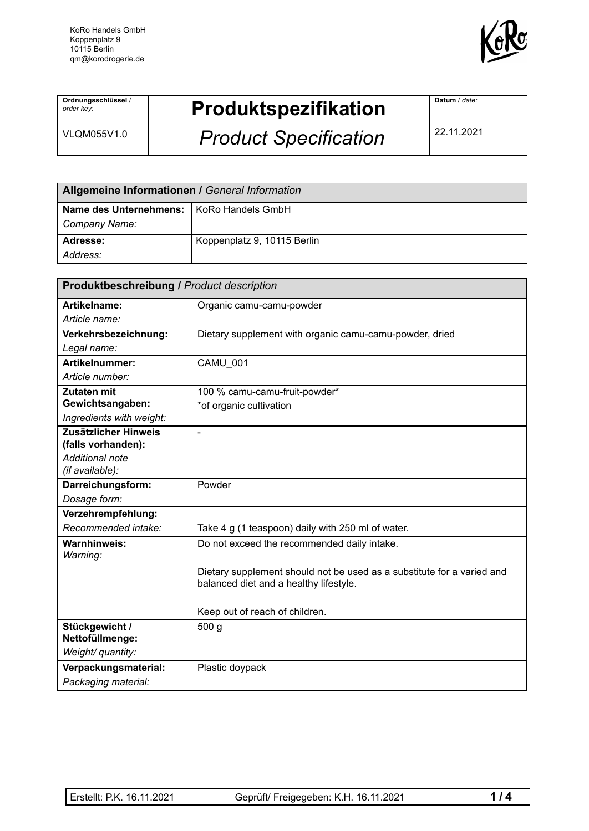

**Ordnungsschlüssel** / *order key:*

VLQM055V1.0

## **Produktspezifikation**

*Product Specification*

**Datum** / *date:*

22.11.2021

| Allgemeine Informationen / General Information |                             |  |
|------------------------------------------------|-----------------------------|--|
| Name des Unternehmens:   KoRo Handels GmbH     |                             |  |
| Company Name:                                  |                             |  |
| Adresse:                                       | Koppenplatz 9, 10115 Berlin |  |
| Address:                                       |                             |  |

| <b>Produktbeschreibung / Product description</b> |                                                                        |  |
|--------------------------------------------------|------------------------------------------------------------------------|--|
| Artikelname:                                     | Organic camu-camu-powder                                               |  |
| Article name:                                    |                                                                        |  |
| Verkehrsbezeichnung:                             | Dietary supplement with organic camu-camu-powder, dried                |  |
| Legal name:                                      |                                                                        |  |
| Artikelnummer:                                   | CAMU 001                                                               |  |
| Article number:                                  |                                                                        |  |
| Zutaten mit                                      | 100 % camu-camu-fruit-powder*                                          |  |
| Gewichtsangaben:                                 | *of organic cultivation                                                |  |
| Ingredients with weight:                         |                                                                        |  |
| Zusätzlicher Hinweis                             |                                                                        |  |
| (falls vorhanden):                               |                                                                        |  |
| <b>Additional note</b><br>(if available):        |                                                                        |  |
| Darreichungsform:                                | Powder                                                                 |  |
| Dosage form:                                     |                                                                        |  |
| Verzehrempfehlung:                               |                                                                        |  |
| Recommended intake:                              | Take 4 g (1 teaspoon) daily with 250 ml of water.                      |  |
| <b>Warnhinweis:</b>                              | Do not exceed the recommended daily intake.                            |  |
| Warning:                                         |                                                                        |  |
|                                                  | Dietary supplement should not be used as a substitute for a varied and |  |
|                                                  | balanced diet and a healthy lifestyle.                                 |  |
|                                                  |                                                                        |  |
|                                                  | Keep out of reach of children.                                         |  |
| Stückgewicht /<br>Nettofüllmenge:                | 500 <sub>g</sub>                                                       |  |
| Weight/ quantity:                                |                                                                        |  |
| Verpackungsmaterial:                             | Plastic doypack                                                        |  |
| Packaging material:                              |                                                                        |  |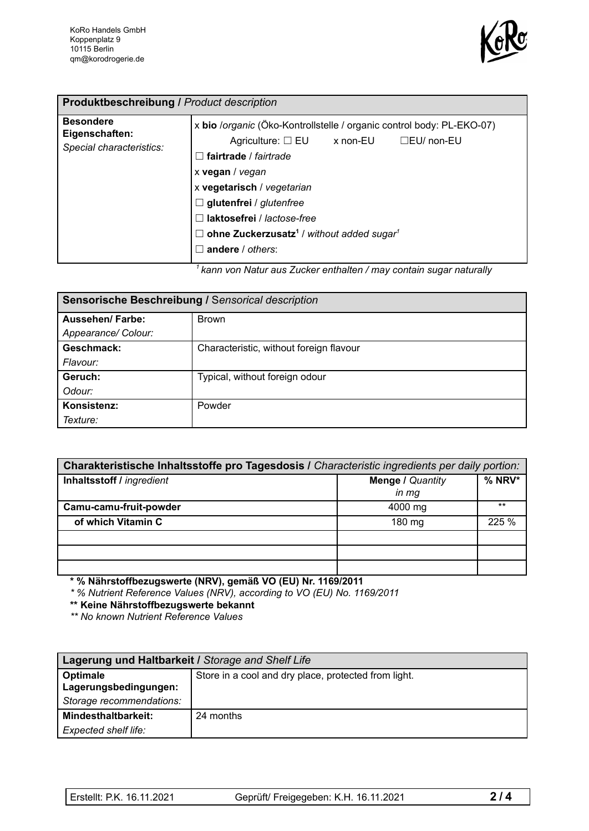

| Produktbeschreibung / Product description                      |                                                                                                                                                                                                                                                                                                                                                                             |
|----------------------------------------------------------------|-----------------------------------------------------------------------------------------------------------------------------------------------------------------------------------------------------------------------------------------------------------------------------------------------------------------------------------------------------------------------------|
| <b>Besondere</b><br>Eigenschaften:<br>Special characteristics: | x bio /organic (Öko-Kontrollstelle / organic control body: PL-EKO-07)<br>Agriculture: $\Box$ EU x non-EU $\Box$ EU/ non-EU<br>$\Box$ fairtrade / fairtrade<br>x vegan / vegan<br>x vegetarisch / vegetarian<br>$\Box$ glutenfrei / glutenfree<br>laktosefrei / lactose-free<br>$\Box$ ohne Zuckerzusatz <sup>1</sup> / without added sugar <sup>1</sup><br>andere / others: |

*<sup>1</sup> kann von Natur aus Zucker enthalten / may contain sugar naturally*

| Sensorische Beschreibung / Sensorical description |                                         |  |
|---------------------------------------------------|-----------------------------------------|--|
| <b>Aussehen/Farbe:</b>                            | <b>Brown</b>                            |  |
| Appearance/ Colour:                               |                                         |  |
| Geschmack:                                        | Characteristic, without foreign flavour |  |
| Flavour:                                          |                                         |  |
| Geruch:                                           | Typical, without foreign odour          |  |
| Odour:                                            |                                         |  |
| Konsistenz:                                       | Powder                                  |  |
| Texture:                                          |                                         |  |

| Charakteristische Inhaltsstoffe pro Tagesdosis I Characteristic ingredients per daily portion: |                         |          |
|------------------------------------------------------------------------------------------------|-------------------------|----------|
| Inhaltsstoff / ingredient                                                                      | <b>Menge / Quantity</b> | $%$ NRV* |
|                                                                                                | $in$ $mg$               |          |
| Camu-camu-fruit-powder                                                                         | 4000 mg                 | $***$    |
| of which Vitamin C                                                                             | 180 mg                  | 225 %    |
|                                                                                                |                         |          |
|                                                                                                |                         |          |
|                                                                                                |                         |          |

**\* % Nährstoffbezugswerte (NRV), gemäß VO (EU) Nr. 1169/2011**

*\* % Nutrient Reference Values (NRV), according to VO (EU) No. 1169/2011*

**\*\* Keine Nährstoffbezugswerte bekannt**

*\*\* No known Nutrient Reference Values*

| Lagerung und Haltbarkeit / Storage and Shelf Life |                                                      |  |
|---------------------------------------------------|------------------------------------------------------|--|
| Optimale                                          | Store in a cool and dry place, protected from light. |  |
| Lagerungsbedingungen:                             |                                                      |  |
| Storage recommendations:                          |                                                      |  |
| <b>Mindesthaltbarkeit:</b>                        | 24 months                                            |  |
| <b>Expected shelf life:</b>                       |                                                      |  |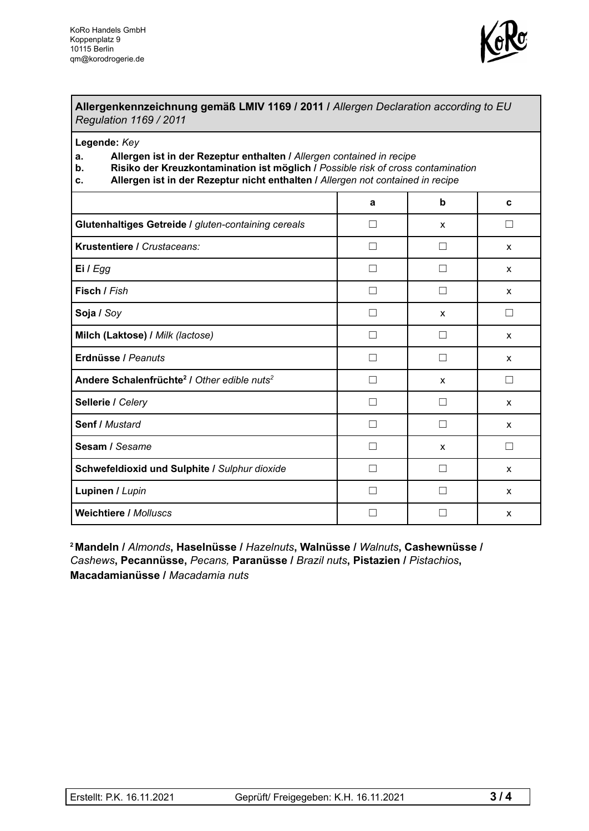

## **Allergenkennzeichnung gemäß LMIV 1169 / 2011 /** *Allergen Declaration according to EU Regulation 1169 / 2011*

**Legende:** *Key*

- **a. Allergen ist in der Rezeptur enthalten /** *Allergen contained in recipe*
- **b. Risiko der Kreuzkontamination ist möglich /** *Possible risk of cross contamination*
- **c. Allergen ist in der Rezeptur nicht enthalten /** *Allergen not contained in recipe*

|                                                                     | a            | $\mathbf b$    | C              |
|---------------------------------------------------------------------|--------------|----------------|----------------|
| Glutenhaltiges Getreide / gluten-containing cereals                 | П            | X              |                |
| Krustentiere / Crustaceans:                                         | П            |                | X              |
| Ei / Egg                                                            | П            |                | X              |
| Fisch / Fish                                                        | $\Box$       | . I            | X              |
| Soja / Soy                                                          | □            | X              | $\blacksquare$ |
| Milch (Laktose) / Milk (lactose)                                    | П            | $\blacksquare$ | X              |
| Erdnüsse / Peanuts                                                  | П            |                | X              |
| Andere Schalenfrüchte <sup>2</sup> / Other edible nuts <sup>2</sup> | П            | X              | . I            |
| Sellerie / Celery                                                   | П            | - 1            | X              |
| <b>Senf / Mustard</b>                                               | П            | $\mathbf{I}$   | X              |
| Sesam / Sesame                                                      | П            | X              |                |
| Schwefeldioxid und Sulphite / Sulphur dioxide                       | П            |                | X              |
| Lupinen / Lupin                                                     | П            |                | X              |
| <b>Weichtiere / Molluscs</b>                                        | $\mathbf{L}$ |                | X              |

**<sup>2</sup> Mandeln /** *Almonds***, Haselnüsse /** *Hazelnuts***, Walnüsse /** *Walnuts***, Cashewnüsse /** *Cashews***, Pecannüsse,** *Pecans,* **Paranüsse /** *Brazil nuts***, Pistazien /** *Pistachios***, Macadamianüsse /** *Macadamia nuts*